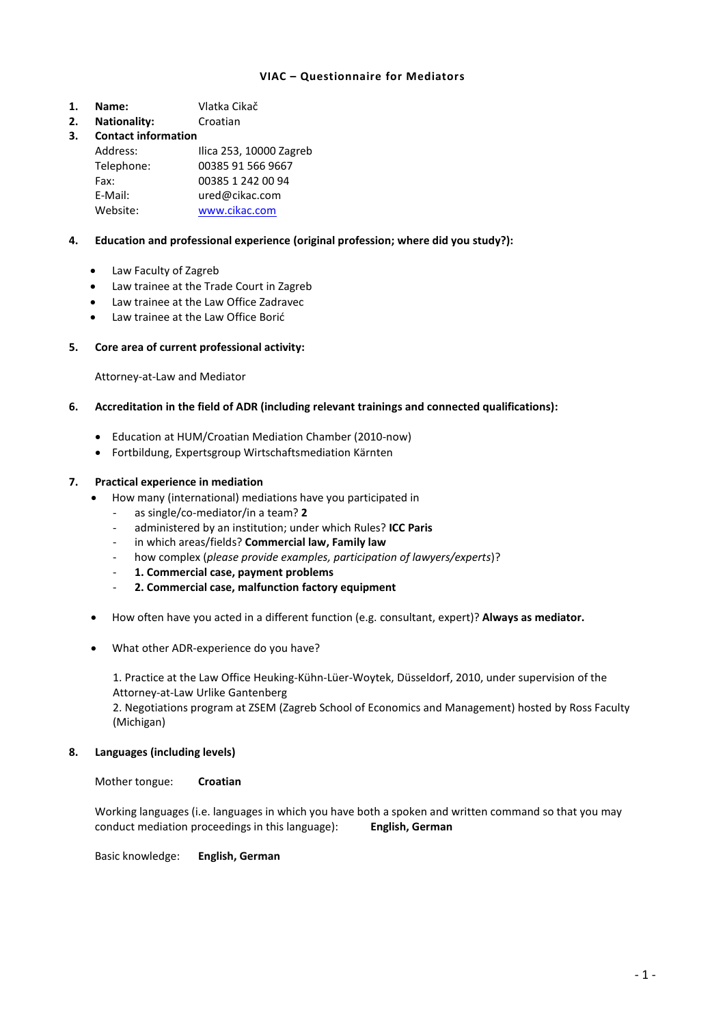### **VIAC – Questionnaire for Mediators**

- **1. Name:** Vlatka Cikač
- **2. Nationality:** Croatian

# **3. Contact information**

| Address:   | Ilica 253, 10000 Zagreb |
|------------|-------------------------|
| Telephone: | 00385 91 566 9667       |
| Fax:       | 00385 1 242 00 94       |
| E-Mail:    | ured@cikac.com          |
| Website:   | www.cikac.com           |

# **4. Education and professional experience (original profession; where did you study?):**

- Law Faculty of Zagreb
- Law trainee at the Trade Court in Zagreb
- Law trainee at the Law Office Zadravec
- Law trainee at the Law Office Borić

### **5. Core area of current professional activity:**

Attorney-at-Law and Mediator

### **6. Accreditation in the field of ADR (including relevant trainings and connected qualifications):**

- Education at HUM/Croatian Mediation Chamber (2010-now)
- Fortbildung, Expertsgroup Wirtschaftsmediation Kärnten

### **7. Practical experience in mediation**

- How many (international) mediations have you participated in
	- as single/co-mediator/in a team? **2**
	- administered by an institution; under which Rules? **ICC Paris**
	- in which areas/fields? **Commercial law, Family law**
	- how complex (*please provide examples, participation of lawyers/experts*)?
	- **1. Commercial case, payment problems**
	- **2. Commercial case, malfunction factory equipment**
- How often have you acted in a different function (e.g. consultant, expert)? **Always as mediator.**
- What other ADR-experience do you have?

1. Practice at the Law Office Heuking-Kühn-Lüer-Woytek, Düsseldorf, 2010, under supervision of the Attorney-at-Law Urlike Gantenberg

2. Negotiations program at ZSEM (Zagreb School of Economics and Management) hosted by Ross Faculty (Michigan)

### **8. Languages (including levels)**

Mother tongue: **Croatian**

Working languages (i.e. languages in which you have both a spoken and written command so that you may conduct mediation proceedings in this language): **English, German**

Basic knowledge: **English, German**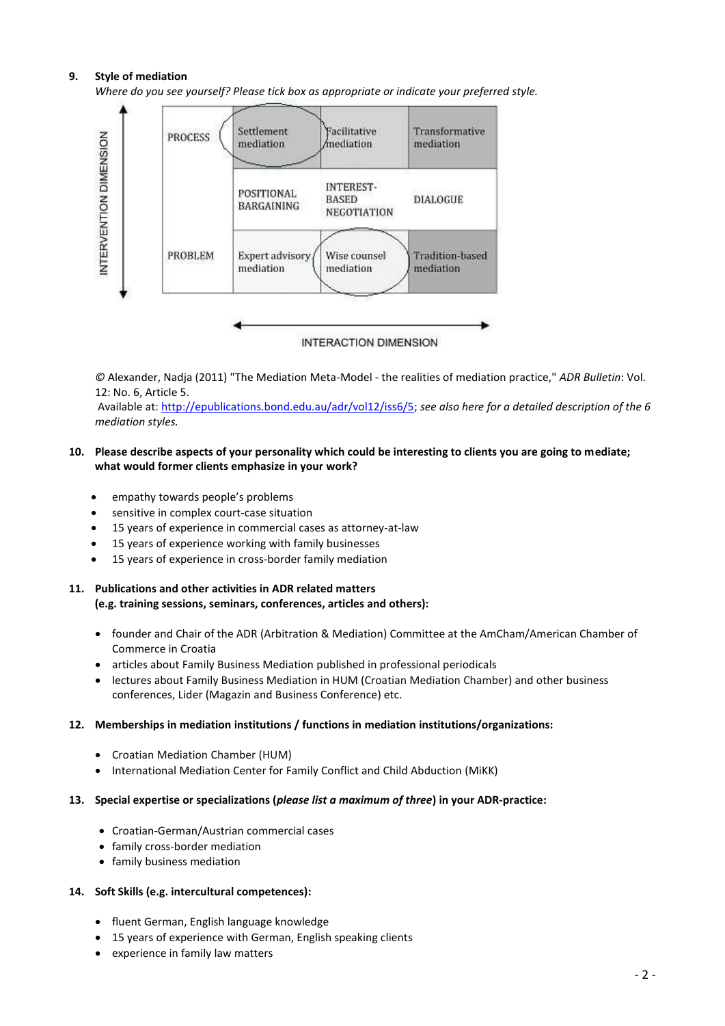# **9. Style of mediation**

*Where do you see yourself? Please tick box as appropriate or indicate your preferred style.*



*©* Alexander, Nadja (2011) "The Mediation Meta-Model - the realities of mediation practice," *ADR Bulletin*: Vol. 12: No. 6, Article 5.

Available at[: http://epublications.bond.edu.au/adr/vol12/iss6/5;](http://epublications.bond.edu.au/adr/vol12/iss6/5) *see also here for a detailed description of the 6 mediation styles.*

### **10. Please describe aspects of your personality which could be interesting to clients you are going to mediate; what would former clients emphasize in your work?**

- empathy towards people's problems
- sensitive in complex court-case situation
- 15 years of experience in commercial cases as attorney-at-law
- 15 years of experience working with family businesses
- 15 years of experience in cross-border family mediation
- **11. Publications and other activities in ADR related matters (e.g. training sessions, seminars, conferences, articles and others):**
	- founder and Chair of the ADR (Arbitration & Mediation) Committee at the AmCham/American Chamber of Commerce in Croatia
	- articles about Family Business Mediation published in professional periodicals
	- lectures about Family Business Mediation in HUM (Croatian Mediation Chamber) and other business conferences, Lider (Magazin and Business Conference) etc.

### **12. Memberships in mediation institutions / functions in mediation institutions/organizations:**

- Croatian Mediation Chamber (HUM)
- International Mediation Center for Family Conflict and Child Abduction (MiKK)

### **13. Special expertise or specializations (***please list a maximum of three***) in your ADR-practice:**

- Croatian-German/Austrian commercial cases
- family cross-border mediation
- family business mediation

### **14. Soft Skills (e.g. intercultural competences):**

- fluent German, English language knowledge
- 15 years of experience with German, English speaking clients
- experience in family law matters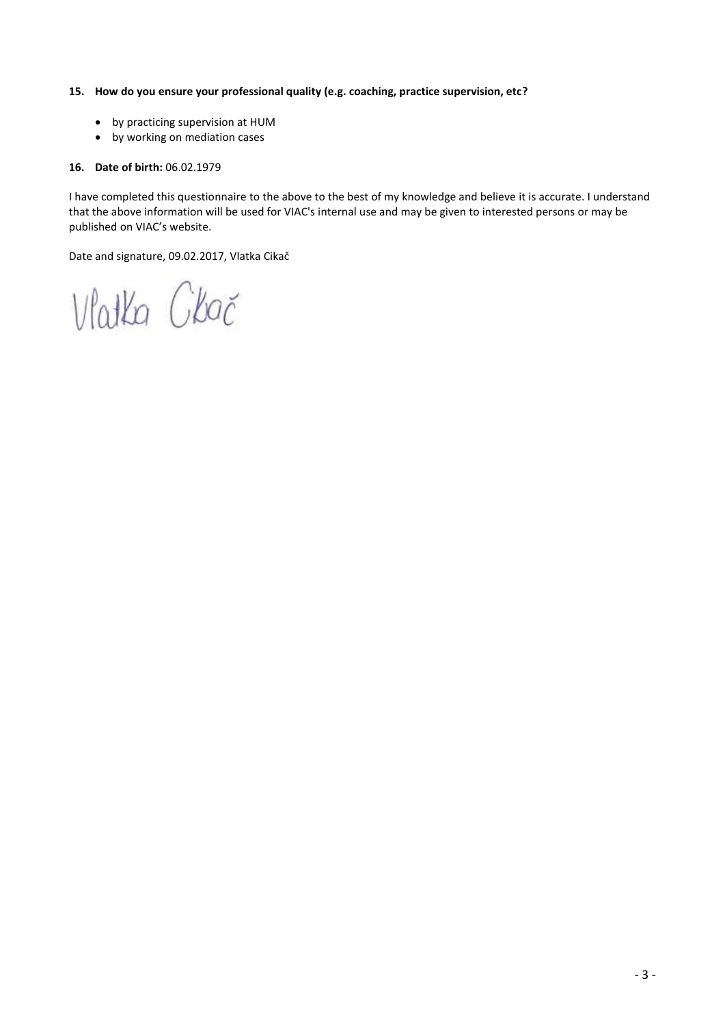### **15. How do you ensure your professional quality (e.g. coaching, practice supervision, etc?**

- by practicing supervision at HUM
- by working on mediation cases

# **16. Date of birth:** 06.02.1979

I have completed this questionnaire to the above to the best of my knowledge and believe it is accurate. I understand that the above information will be used for VIAC's internal use and may be given to interested persons or may be published on VIAC's website.

Date and signature, 09.02.2017, Vlatka Cikač

Vlatka Ckač